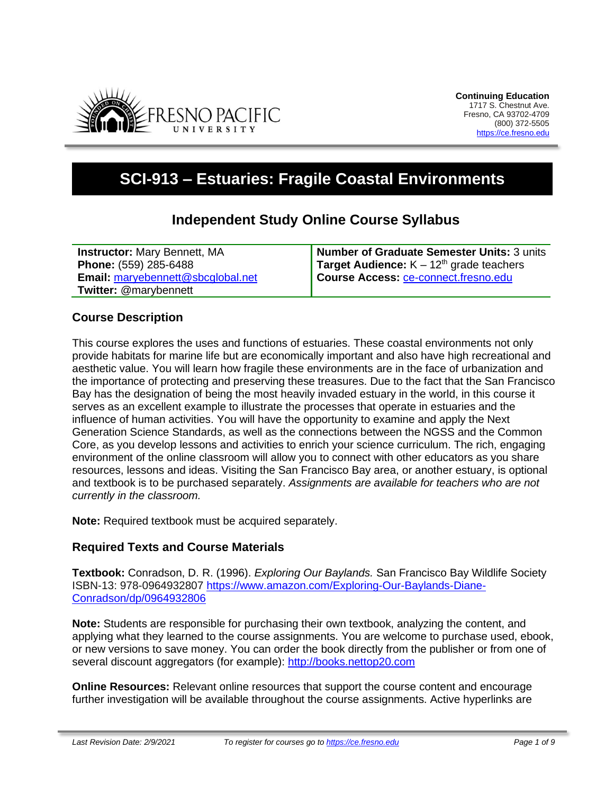

# **SCI-913 – Estuaries: Fragile Coastal Environments**

# **Independent Study Online Course Syllabus**

**Instructor:** Mary Bennett, MA **Phone:** (559) 285-6488 **Email:** [maryebennett@sbcglobal.net](mailto:maryebennett@sbcglobal.net) **Twitter:** @marybennett

**Number of Graduate Semester Units:** 3 units **Target Audience:** K – 12<sup>th</sup> grade teachers **Course Access:** [ce-connect.fresno.edu](https://ce-connect.fresno.edu/)

# **Course Description**

This course explores the uses and functions of estuaries. These coastal environments not only provide habitats for marine life but are economically important and also have high recreational and aesthetic value. You will learn how fragile these environments are in the face of urbanization and the importance of protecting and preserving these treasures. Due to the fact that the San Francisco Bay has the designation of being the most heavily invaded estuary in the world, in this course it serves as an excellent example to illustrate the processes that operate in estuaries and the influence of human activities. You will have the opportunity to examine and apply the Next Generation Science Standards, as well as the connections between the NGSS and the Common Core, as you develop lessons and activities to enrich your science curriculum. The rich, engaging environment of the online classroom will allow you to connect with other educators as you share resources, lessons and ideas. Visiting the San Francisco Bay area, or another estuary, is optional and textbook is to be purchased separately. *Assignments are available for teachers who are not currently in the classroom.*

**Note:** Required textbook must be acquired separately.

# **Required Texts and Course Materials**

**Textbook:** Conradson, D. R. (1996). *Exploring Our Baylands.* San Francisco Bay Wildlife Society ISBN-13: 978-0964932807 [https://www.amazon.com/Exploring-Our-Baylands-Diane-](https://www.amazon.com/Exploring-Our-Baylands-Diane-Conradson/dp/0964932806)[Conradson/dp/0964932806](https://www.amazon.com/Exploring-Our-Baylands-Diane-Conradson/dp/0964932806)

**Note:** Students are responsible for purchasing their own textbook, analyzing the content, and applying what they learned to the course assignments. You are welcome to purchase used, ebook, or new versions to save money. You can order the book directly from the publisher or from one of several discount aggregators (for example): [http://books.nettop20.com](http://books.nettop20.com/)

**Online Resources:** Relevant online resources that support the course content and encourage further investigation will be available throughout the course assignments. Active hyperlinks are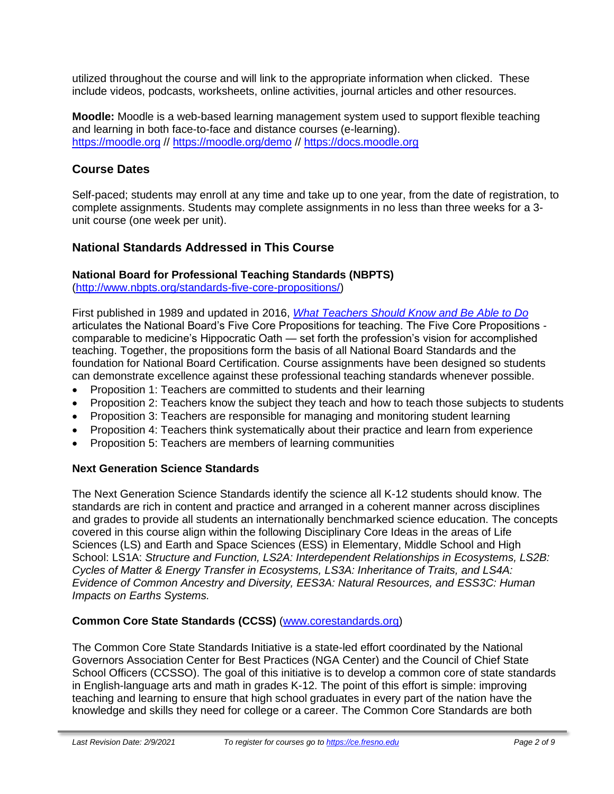utilized throughout the course and will link to the appropriate information when clicked. These include videos, podcasts, worksheets, online activities, journal articles and other resources.

**Moodle:** Moodle is a web-based learning management system used to support flexible teaching and learning in both face-to-face and distance courses (e-learning). [https://moodle.org](https://moodle.org/) // <https://moodle.org/demo> // [https://docs.moodle.org](https://docs.moodle.org/)

# **Course Dates**

Self-paced; students may enroll at any time and take up to one year, from the date of registration, to complete assignments. Students may complete assignments in no less than three weeks for a 3 unit course (one week per unit).

# **National Standards Addressed in This Course**

### **National Board for Professional Teaching Standards (NBPTS)**

[\(http://www.nbpts.org/standards-five-core-propositions/\)](http://www.nbpts.org/standards-five-core-propositions/)

First published in 1989 and updated in 2016, *[What Teachers Should Know and Be Able to Do](http://www.accomplishedteacher.org/)* articulates the National Board's Five Core Propositions for teaching. The Five Core Propositions comparable to medicine's Hippocratic Oath — set forth the profession's vision for accomplished teaching. Together, the propositions form the basis of all National Board Standards and the foundation for National Board Certification. Course assignments have been designed so students can demonstrate excellence against these professional teaching standards whenever possible.

- Proposition 1: Teachers are committed to students and their learning
- Proposition 2: Teachers know the subject they teach and how to teach those subjects to students
- Proposition 3: Teachers are responsible for managing and monitoring student learning
- Proposition 4: Teachers think systematically about their practice and learn from experience
- Proposition 5: Teachers are members of learning communities

# **Next Generation Science Standards**

The Next Generation Science Standards identify the science all K-12 students should know. The standards are rich in content and practice and arranged in a coherent manner across disciplines and grades to provide all students an internationally benchmarked science education. The concepts covered in this course align within the following Disciplinary Core Ideas in the areas of Life Sciences (LS) and Earth and Space Sciences (ESS) in Elementary, Middle School and High School: LS1A: *Structure and Function, LS2A: Interdependent Relationships in Ecosystems, LS2B: Cycles of Matter & Energy Transfer in Ecosystems, LS3A: Inheritance of Traits, and LS4A: Evidence of Common Ancestry and Diversity, EES3A: Natural Resources, and ESS3C: Human Impacts on Earths Systems.*

# **Common Core State Standards (CCSS)** [\(www.corestandards.org\)](http://www.corestandards.org/)

The Common Core State Standards Initiative is a state-led effort coordinated by the National Governors Association Center for Best Practices (NGA Center) and the Council of Chief State School Officers (CCSSO). The goal of this initiative is to develop a common core of state standards in English-language arts and math in grades K-12. The point of this effort is simple: improving teaching and learning to ensure that high school graduates in every part of the nation have the knowledge and skills they need for college or a career. The Common Core Standards are both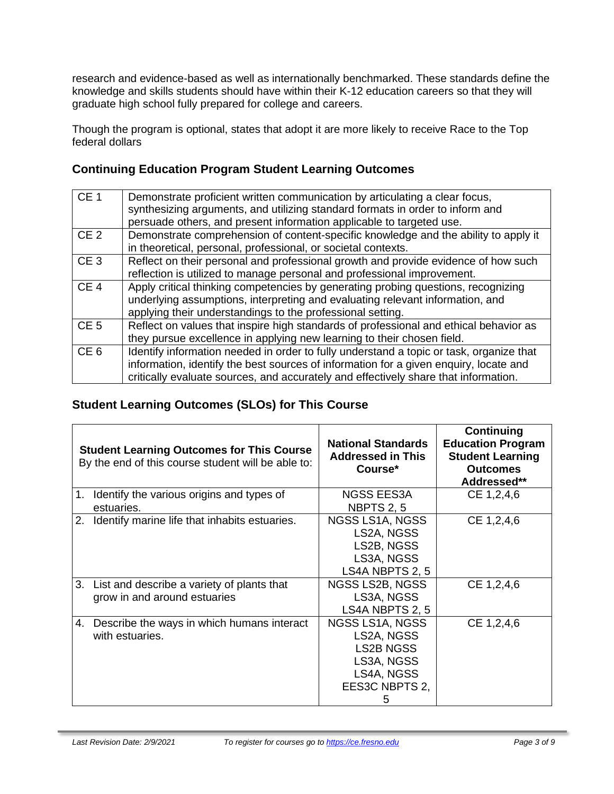research and evidence-based as well as internationally benchmarked. These standards define the knowledge and skills students should have within their K-12 education careers so that they will graduate high school fully prepared for college and careers.

Though the program is optional, states that adopt it are more likely to receive Race to the Top federal dollars

# **Continuing Education Program Student Learning Outcomes**

| CE <sub>1</sub> | Demonstrate proficient written communication by articulating a clear focus,<br>synthesizing arguments, and utilizing standard formats in order to inform and<br>persuade others, and present information applicable to targeted use.                                    |
|-----------------|-------------------------------------------------------------------------------------------------------------------------------------------------------------------------------------------------------------------------------------------------------------------------|
| CE <sub>2</sub> | Demonstrate comprehension of content-specific knowledge and the ability to apply it<br>in theoretical, personal, professional, or societal contexts.                                                                                                                    |
| CE <sub>3</sub> | Reflect on their personal and professional growth and provide evidence of how such<br>reflection is utilized to manage personal and professional improvement.                                                                                                           |
| CE <sub>4</sub> | Apply critical thinking competencies by generating probing questions, recognizing<br>underlying assumptions, interpreting and evaluating relevant information, and<br>applying their understandings to the professional setting.                                        |
| CE <sub>5</sub> | Reflect on values that inspire high standards of professional and ethical behavior as<br>they pursue excellence in applying new learning to their chosen field.                                                                                                         |
| CE <sub>6</sub> | Identify information needed in order to fully understand a topic or task, organize that<br>information, identify the best sources of information for a given enquiry, locate and<br>critically evaluate sources, and accurately and effectively share that information. |

# **Student Learning Outcomes (SLOs) for This Course**

| <b>Student Learning Outcomes for This Course</b><br>By the end of this course student will be able to: |                                                                               | <b>National Standards</b><br><b>Addressed in This</b><br>Course*                                      | <b>Continuing</b><br><b>Education Program</b><br><b>Student Learning</b><br><b>Outcomes</b><br>Addressed** |
|--------------------------------------------------------------------------------------------------------|-------------------------------------------------------------------------------|-------------------------------------------------------------------------------------------------------|------------------------------------------------------------------------------------------------------------|
| $1_{\cdot}$                                                                                            | Identify the various origins and types of<br>estuaries.                       | NGSS EES3A<br><b>NBPTS 2, 5</b>                                                                       | CE 1,2,4,6                                                                                                 |
| 2.                                                                                                     | Identify marine life that inhabits estuaries.                                 | NGSS LS1A, NGSS<br>LS2A, NGSS<br>LS2B, NGSS<br>LS3A, NGSS<br>LS4A NBPTS 2, 5                          | CE 1,2,4,6                                                                                                 |
|                                                                                                        | 3. List and describe a variety of plants that<br>grow in and around estuaries | NGSS LS2B, NGSS<br>LS3A, NGSS<br>LS4A NBPTS 2, 5                                                      | CE 1,2,4,6                                                                                                 |
| 4.                                                                                                     | Describe the ways in which humans interact<br>with estuaries.                 | NGSS LS1A, NGSS<br>LS2A, NGSS<br><b>LS2B NGSS</b><br>LS3A, NGSS<br>LS4A, NGSS<br>EES3C NBPTS 2,<br>b. | CE 1,2,4,6                                                                                                 |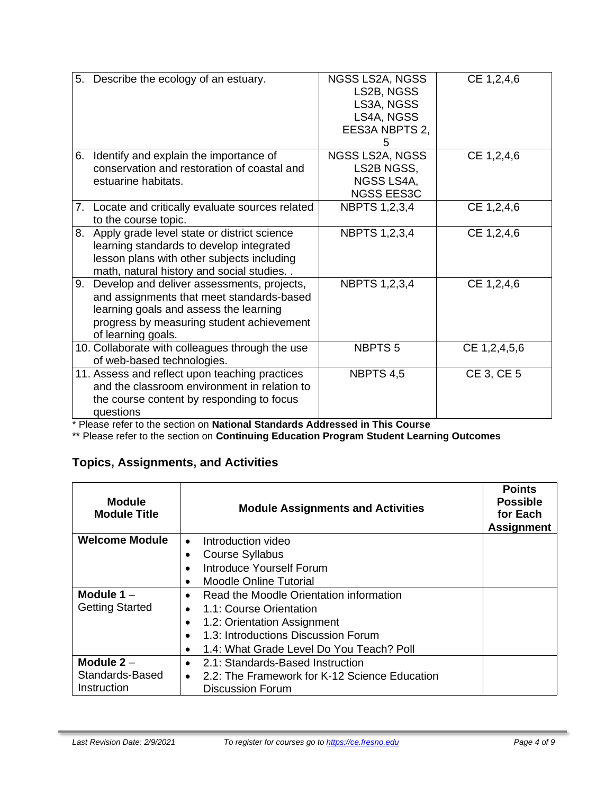| 5. | Describe the ecology of an estuary.                                                                                                                                                                  | NGSS LS2A, NGSS<br>LS2B, NGSS<br>LS3A, NGSS<br>LS4A, NGSS<br>EES3A NBPTS 2,<br>5 | CE 1,2,4,6   |
|----|------------------------------------------------------------------------------------------------------------------------------------------------------------------------------------------------------|----------------------------------------------------------------------------------|--------------|
|    | 6. Identify and explain the importance of<br>conservation and restoration of coastal and<br>estuarine habitats.                                                                                      | NGSS LS2A, NGSS<br>LS2B NGSS,<br>NGSS LS4A,<br><b>NGSS EES3C</b>                 | CE 1,2,4,6   |
|    | 7. Locate and critically evaluate sources related<br>to the course topic.                                                                                                                            | <b>NBPTS 1,2,3,4</b>                                                             | CE 1,2,4,6   |
| 8. | Apply grade level state or district science<br>learning standards to develop integrated<br>lesson plans with other subjects including<br>math, natural history and social studies                    | <b>NBPTS 1,2,3,4</b>                                                             | CE 1,2,4,6   |
| 9. | Develop and deliver assessments, projects,<br>and assignments that meet standards-based<br>learning goals and assess the learning<br>progress by measuring student achievement<br>of learning goals. | <b>NBPTS 1,2,3,4</b>                                                             | CE 1,2,4,6   |
|    | 10. Collaborate with colleagues through the use<br>of web-based technologies.                                                                                                                        | NBPTS <sub>5</sub>                                                               | CE 1,2,4,5,6 |
|    | 11. Assess and reflect upon teaching practices<br>and the classroom environment in relation to<br>the course content by responding to focus<br>questions                                             | NBPTS 4,5                                                                        | CE 3, CE 5   |

\* Please refer to the section on **National Standards Addressed in This Course**

\*\* Please refer to the section on **Continuing Education Program Student Learning Outcomes**

# **Topics, Assignments, and Activities**

| <b>Module</b><br><b>Module Title</b> | <b>Module Assignments and Activities</b>                   | <b>Points</b><br><b>Possible</b><br>for Each<br><b>Assignment</b> |
|--------------------------------------|------------------------------------------------------------|-------------------------------------------------------------------|
| <b>Welcome Module</b>                | Introduction video<br>$\bullet$                            |                                                                   |
|                                      | <b>Course Syllabus</b>                                     |                                                                   |
|                                      | Introduce Yourself Forum<br>$\bullet$                      |                                                                   |
|                                      | <b>Moodle Online Tutorial</b>                              |                                                                   |
| Module $1 -$                         | Read the Moodle Orientation information<br>$\bullet$       |                                                                   |
| <b>Getting Started</b>               | 1.1: Course Orientation<br>$\bullet$                       |                                                                   |
|                                      | 1.2: Orientation Assignment                                |                                                                   |
|                                      | 1.3: Introductions Discussion Forum<br>$\bullet$           |                                                                   |
|                                      | 1.4: What Grade Level Do You Teach? Poll<br>$\bullet$      |                                                                   |
| Module $2 -$                         | 2.1: Standards-Based Instruction<br>$\bullet$              |                                                                   |
| Standards-Based                      | 2.2: The Framework for K-12 Science Education<br>$\bullet$ |                                                                   |
| Instruction                          | <b>Discussion Forum</b>                                    |                                                                   |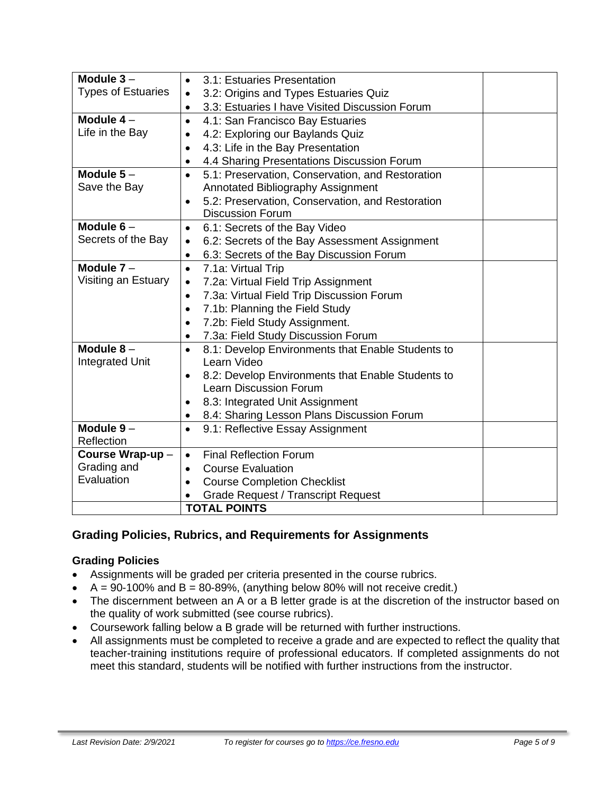| Module $3-$               | 3.1: Estuaries Presentation<br>$\bullet$                       |
|---------------------------|----------------------------------------------------------------|
| <b>Types of Estuaries</b> | 3.2: Origins and Types Estuaries Quiz                          |
|                           | 3.3: Estuaries I have Visited Discussion Forum<br>$\bullet$    |
| Module $4-$               | 4.1: San Francisco Bay Estuaries<br>$\bullet$                  |
| Life in the Bay           | 4.2: Exploring our Baylands Quiz<br>$\bullet$                  |
|                           | 4.3: Life in the Bay Presentation<br>$\bullet$                 |
|                           | 4.4 Sharing Presentations Discussion Forum                     |
| Module $5-$               | 5.1: Preservation, Conservation, and Restoration<br>$\bullet$  |
| Save the Bay              | Annotated Bibliography Assignment                              |
|                           | 5.2: Preservation, Conservation, and Restoration<br>$\bullet$  |
|                           | <b>Discussion Forum</b>                                        |
| Module $6-$               | 6.1: Secrets of the Bay Video<br>$\bullet$                     |
| Secrets of the Bay        | 6.2: Secrets of the Bay Assessment Assignment<br>$\bullet$     |
|                           | 6.3: Secrets of the Bay Discussion Forum<br>٠                  |
| Module $7 -$              | 7.1a: Virtual Trip<br>$\bullet$                                |
| Visiting an Estuary       | 7.2a: Virtual Field Trip Assignment<br>$\bullet$               |
|                           | 7.3a: Virtual Field Trip Discussion Forum<br>$\bullet$         |
|                           | 7.1b: Planning the Field Study<br>$\bullet$                    |
|                           | 7.2b: Field Study Assignment.<br>$\bullet$                     |
|                           | 7.3a: Field Study Discussion Forum<br>$\bullet$                |
| Module $8-$               | 8.1: Develop Environments that Enable Students to<br>$\bullet$ |
| <b>Integrated Unit</b>    | Learn Video                                                    |
|                           | 8.2: Develop Environments that Enable Students to<br>$\bullet$ |
|                           | <b>Learn Discussion Forum</b>                                  |
|                           | 8.3: Integrated Unit Assignment                                |
|                           | 8.4: Sharing Lesson Plans Discussion Forum<br>$\bullet$        |
| Module $9-$               | 9.1: Reflective Essay Assignment<br>$\bullet$                  |
| Reflection                |                                                                |
| Course Wrap-up-           | <b>Final Reflection Forum</b><br>$\bullet$                     |
| Grading and               | <b>Course Evaluation</b><br>$\bullet$                          |
| Evaluation                | <b>Course Completion Checklist</b><br>$\bullet$                |
|                           | <b>Grade Request / Transcript Request</b>                      |
|                           | <b>TOTAL POINTS</b>                                            |

# **Grading Policies, Rubrics, and Requirements for Assignments**

#### **Grading Policies**

- Assignments will be graded per criteria presented in the course rubrics.
- $A = 90-100\%$  and  $B = 80-89\%$ , (anything below 80% will not receive credit.)
- The discernment between an A or a B letter grade is at the discretion of the instructor based on the quality of work submitted (see course rubrics).
- Coursework falling below a B grade will be returned with further instructions.
- All assignments must be completed to receive a grade and are expected to reflect the quality that teacher-training institutions require of professional educators. If completed assignments do not meet this standard, students will be notified with further instructions from the instructor.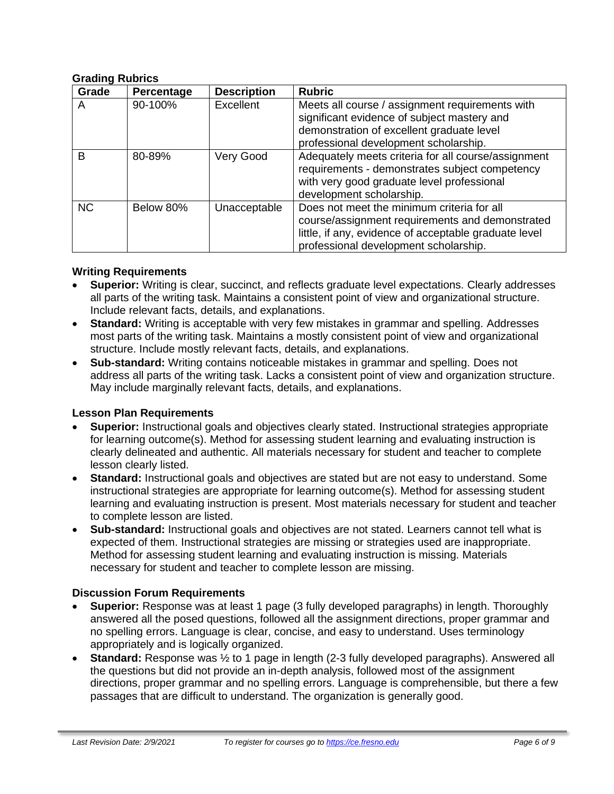#### **Grading Rubrics**

| Grade     | Percentage | <b>Description</b> | <b>Rubric</b>                                                                                                                                                                                   |
|-----------|------------|--------------------|-------------------------------------------------------------------------------------------------------------------------------------------------------------------------------------------------|
| A         | 90-100%    | Excellent          | Meets all course / assignment requirements with<br>significant evidence of subject mastery and<br>demonstration of excellent graduate level<br>professional development scholarship.            |
| B         | 80-89%     | Very Good          | Adequately meets criteria for all course/assignment<br>requirements - demonstrates subject competency<br>with very good graduate level professional<br>development scholarship.                 |
| <b>NC</b> | Below 80%  | Unacceptable       | Does not meet the minimum criteria for all<br>course/assignment requirements and demonstrated<br>little, if any, evidence of acceptable graduate level<br>professional development scholarship. |

#### **Writing Requirements**

- **Superior:** Writing is clear, succinct, and reflects graduate level expectations. Clearly addresses all parts of the writing task. Maintains a consistent point of view and organizational structure. Include relevant facts, details, and explanations.
- **Standard:** Writing is acceptable with very few mistakes in grammar and spelling. Addresses most parts of the writing task. Maintains a mostly consistent point of view and organizational structure. Include mostly relevant facts, details, and explanations.
- **Sub-standard:** Writing contains noticeable mistakes in grammar and spelling. Does not address all parts of the writing task. Lacks a consistent point of view and organization structure. May include marginally relevant facts, details, and explanations.

#### **Lesson Plan Requirements**

- **Superior:** Instructional goals and objectives clearly stated. Instructional strategies appropriate for learning outcome(s). Method for assessing student learning and evaluating instruction is clearly delineated and authentic. All materials necessary for student and teacher to complete lesson clearly listed.
- **Standard:** Instructional goals and objectives are stated but are not easy to understand. Some instructional strategies are appropriate for learning outcome(s). Method for assessing student learning and evaluating instruction is present. Most materials necessary for student and teacher to complete lesson are listed.
- **Sub-standard:** Instructional goals and objectives are not stated. Learners cannot tell what is expected of them. Instructional strategies are missing or strategies used are inappropriate. Method for assessing student learning and evaluating instruction is missing. Materials necessary for student and teacher to complete lesson are missing.

#### **Discussion Forum Requirements**

- **Superior:** Response was at least 1 page (3 fully developed paragraphs) in length. Thoroughly answered all the posed questions, followed all the assignment directions, proper grammar and no spelling errors. Language is clear, concise, and easy to understand. Uses terminology appropriately and is logically organized.
- **Standard:** Response was ½ to 1 page in length (2-3 fully developed paragraphs). Answered all the questions but did not provide an in-depth analysis, followed most of the assignment directions, proper grammar and no spelling errors. Language is comprehensible, but there a few passages that are difficult to understand. The organization is generally good.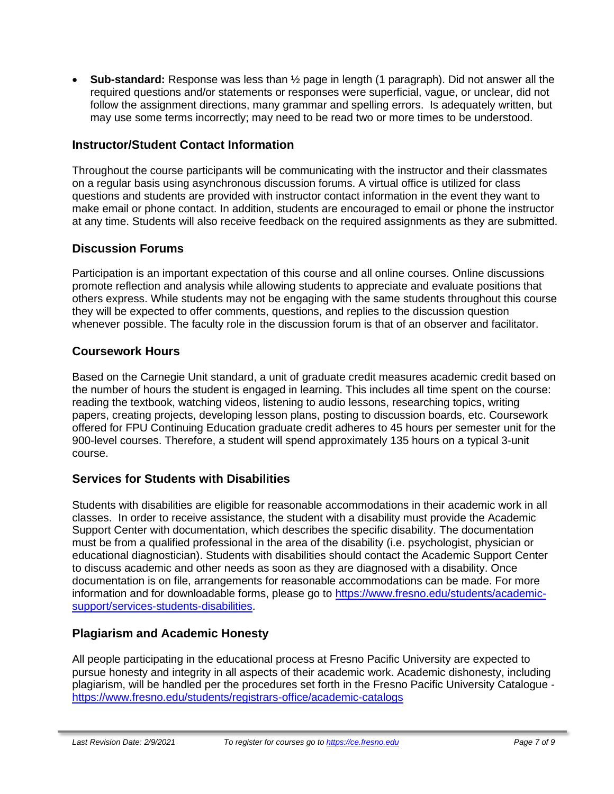• **Sub-standard:** Response was less than ½ page in length (1 paragraph). Did not answer all the required questions and/or statements or responses were superficial, vague, or unclear, did not follow the assignment directions, many grammar and spelling errors. Is adequately written, but may use some terms incorrectly; may need to be read two or more times to be understood.

# **Instructor/Student Contact Information**

Throughout the course participants will be communicating with the instructor and their classmates on a regular basis using asynchronous discussion forums. A virtual office is utilized for class questions and students are provided with instructor contact information in the event they want to make email or phone contact. In addition, students are encouraged to email or phone the instructor at any time. Students will also receive feedback on the required assignments as they are submitted.

# **Discussion Forums**

Participation is an important expectation of this course and all online courses. Online discussions promote reflection and analysis while allowing students to appreciate and evaluate positions that others express. While students may not be engaging with the same students throughout this course they will be expected to offer comments, questions, and replies to the discussion question whenever possible. The faculty role in the discussion forum is that of an observer and facilitator.

# **Coursework Hours**

Based on the Carnegie Unit standard, a unit of graduate credit measures academic credit based on the number of hours the student is engaged in learning. This includes all time spent on the course: reading the textbook, watching videos, listening to audio lessons, researching topics, writing papers, creating projects, developing lesson plans, posting to discussion boards, etc. Coursework offered for FPU Continuing Education graduate credit adheres to 45 hours per semester unit for the 900-level courses. Therefore, a student will spend approximately 135 hours on a typical 3-unit course.

# **Services for Students with Disabilities**

Students with disabilities are eligible for reasonable accommodations in their academic work in all classes. In order to receive assistance, the student with a disability must provide the Academic Support Center with documentation, which describes the specific disability. The documentation must be from a qualified professional in the area of the disability (i.e. psychologist, physician or educational diagnostician). Students with disabilities should contact the Academic Support Center to discuss academic and other needs as soon as they are diagnosed with a disability. Once documentation is on file, arrangements for reasonable accommodations can be made. For more information and for downloadable forms, please go to [https://www.fresno.edu/students/academic](https://www.fresno.edu/students/academic-support/services-students-disabilities)[support/services-students-disabilities.](https://www.fresno.edu/students/academic-support/services-students-disabilities)

# **Plagiarism and Academic Honesty**

All people participating in the educational process at Fresno Pacific University are expected to pursue honesty and integrity in all aspects of their academic work. Academic dishonesty, including plagiarism, will be handled per the procedures set forth in the Fresno Pacific University Catalogue <https://www.fresno.edu/students/registrars-office/academic-catalogs>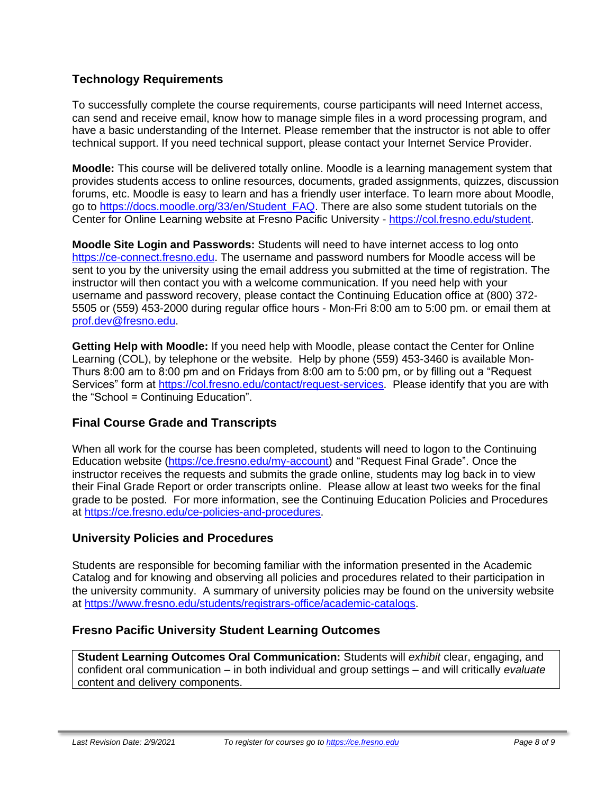# **Technology Requirements**

To successfully complete the course requirements, course participants will need Internet access, can send and receive email, know how to manage simple files in a word processing program, and have a basic understanding of the Internet. Please remember that the instructor is not able to offer technical support. If you need technical support, please contact your Internet Service Provider.

**Moodle:** This course will be delivered totally online. Moodle is a learning management system that provides students access to online resources, documents, graded assignments, quizzes, discussion forums, etc. Moodle is easy to learn and has a friendly user interface. To learn more about Moodle, go to [https://docs.moodle.org/33/en/Student\\_FAQ.](https://docs.moodle.org/33/en/Student_FAQ) There are also some student tutorials on the Center for Online Learning website at Fresno Pacific University - [https://col.fresno.edu/student.](https://col.fresno.edu/student)

**Moodle Site Login and Passwords:** Students will need to have internet access to log onto [https://ce-connect.fresno.edu.](https://ce-connect.fresno.edu/) The username and password numbers for Moodle access will be sent to you by the university using the email address you submitted at the time of registration. The instructor will then contact you with a welcome communication. If you need help with your username and password recovery, please contact the Continuing Education office at (800) 372- 5505 or (559) 453-2000 during regular office hours - Mon-Fri 8:00 am to 5:00 pm. or email them at [prof.dev@fresno.edu.](mailto:prof.dev@fresno.edu)

**Getting Help with Moodle:** If you need help with Moodle, please contact the Center for Online Learning (COL), by telephone or the website. Help by phone (559) 453-3460 is available Mon-Thurs 8:00 am to 8:00 pm and on Fridays from 8:00 am to 5:00 pm, or by filling out a "Request Services" form at [https://col.fresno.edu/contact/request-services.](https://col.fresno.edu/contact/request-services) Please identify that you are with the "School = Continuing Education".

# **Final Course Grade and Transcripts**

When all work for the course has been completed, students will need to logon to the Continuing Education website [\(https://ce.fresno.edu/my-account\)](https://ce.fresno.edu/my-account) and "Request Final Grade". Once the instructor receives the requests and submits the grade online, students may log back in to view their Final Grade Report or order transcripts online. Please allow at least two weeks for the final grade to be posted. For more information, see the Continuing Education Policies and Procedures at [https://ce.fresno.edu/ce-policies-and-procedures.](https://ce.fresno.edu/ce-policies-and-procedures)

# **University Policies and Procedures**

Students are responsible for becoming familiar with the information presented in the Academic Catalog and for knowing and observing all policies and procedures related to their participation in the university community. A summary of university policies may be found on the university website at [https://www.fresno.edu/students/registrars-office/academic-catalogs.](https://www.fresno.edu/students/registrars-office/academic-catalogs)

# **Fresno Pacific University Student Learning Outcomes**

**Student Learning Outcomes Oral Communication:** Students will *exhibit* clear, engaging, and confident oral communication – in both individual and group settings – and will critically *evaluate*  content and delivery components.